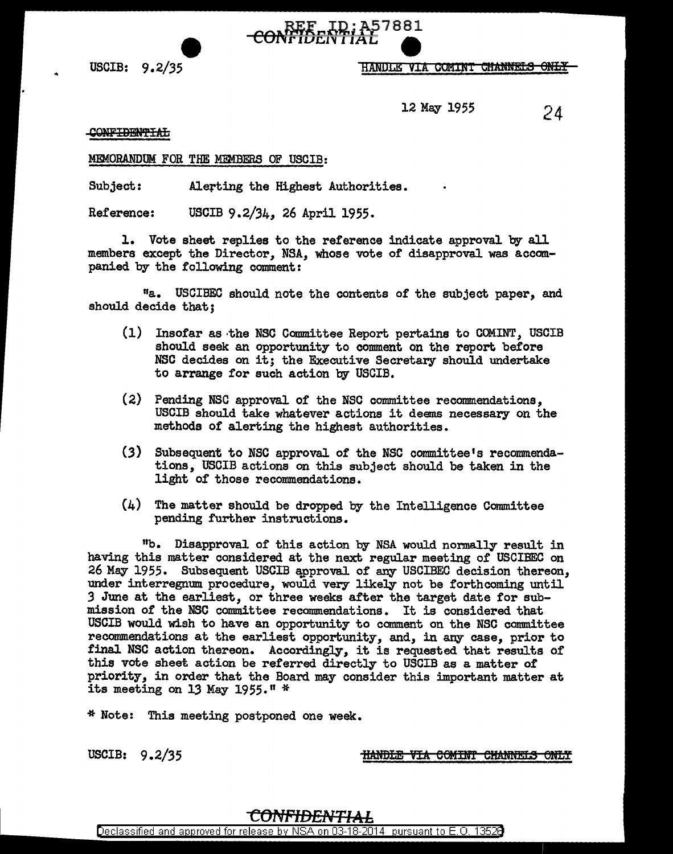

HANDLE VIA COMINT CHANNELS ONLY

12 May 1955 24

## CONFIDENTIAL

## MEMORANDUM FOR THE MEMBERS OF USCIB:

Subject: Alerting the Highest Authorities.

Reference: USCIB 9.2/34, 26 April 1955.

l. Vote sheet replies to the reference indicate approval by all members except the Director, NSA, whose vote of disapproval was accompanied by the following comment:

11a. USCIBEC should note the contents of the subject paper, and should decide that;

- (1) Insofar as ·the NSC Committee Report pertains to COMINT, USCIB should seek an opportunity to comment on the report before NSC decides on it; the Executive Secretary should undertake to arrange for such action by USCIB.
- (2) Pending NSC approval of the NSC committee recommendations, USCIB should take whatever actions it deems necessary on the methods *ot* alerting the highest authorities.
- (3) Subsequent to NSC approval of the NSC committee's recommendations, USCIB actions on this subject should be taken in the light of those recommendations.
- (4) The matter should be dropped by the Intelligence Committee pending further instructions.

"b. Disapproval of this action by NSA would normally result in having this matter considered at the next regular meeting of USCIBEC on 26 May 1955. Subsequent USCIB approval of any USCIBEC decision thereon, under interregnum procedure, would very likely not be forthcoming until *3* June at the earliest, or three weeks after the target date for submission of the NSC committee recommendations. It is considered that USCIB would wish to have an opportunity to comment on the NSC committee recommendations at the earliest opportunity, and, in any case, prior to final NSC action thereon. Accordingly, it is requested that results of this vote sheet action be referred directly to USCIB as a matter of priority, in order that the Board may consider this important matter at its meeting on 13 May 1955." \*

\* Note: This meeting postponed one week.

USCIB: 9.2/35

**HANDLE VIA COMINT CHANNELS ONLY**